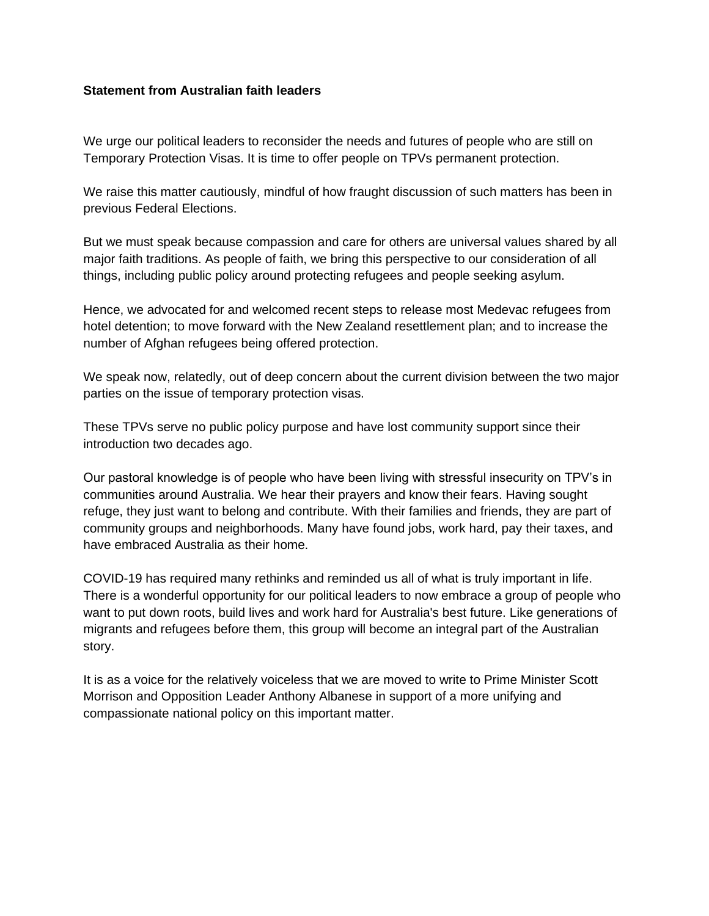## **Statement from Australian faith leaders**

We urge our political leaders to reconsider the needs and futures of people who are still on Temporary Protection Visas. It is time to offer people on TPVs permanent protection.

We raise this matter cautiously, mindful of how fraught discussion of such matters has been in previous Federal Elections.

But we must speak because compassion and care for others are universal values shared by all major faith traditions. As people of faith, we bring this perspective to our consideration of all things, including public policy around protecting refugees and people seeking asylum.

Hence, we advocated for and welcomed recent steps to release most Medevac refugees from hotel detention; to move forward with the New Zealand resettlement plan; and to increase the number of Afghan refugees being offered protection.

We speak now, relatedly, out of deep concern about the current division between the two major parties on the issue of temporary protection visas.

These TPVs serve no public policy purpose and have lost community support since their introduction two decades ago.

Our pastoral knowledge is of people who have been living with stressful insecurity on TPV's in communities around Australia. We hear their prayers and know their fears. Having sought refuge, they just want to belong and contribute. With their families and friends, they are part of community groups and neighborhoods. Many have found jobs, work hard, pay their taxes, and have embraced Australia as their home.

COVID-19 has required many rethinks and reminded us all of what is truly important in life. There is a wonderful opportunity for our political leaders to now embrace a group of people who want to put down roots, build lives and work hard for Australia's best future. Like generations of migrants and refugees before them, this group will become an integral part of the Australian story.

It is as a voice for the relatively voiceless that we are moved to write to Prime Minister Scott Morrison and Opposition Leader Anthony Albanese in support of a more unifying and compassionate national policy on this important matter.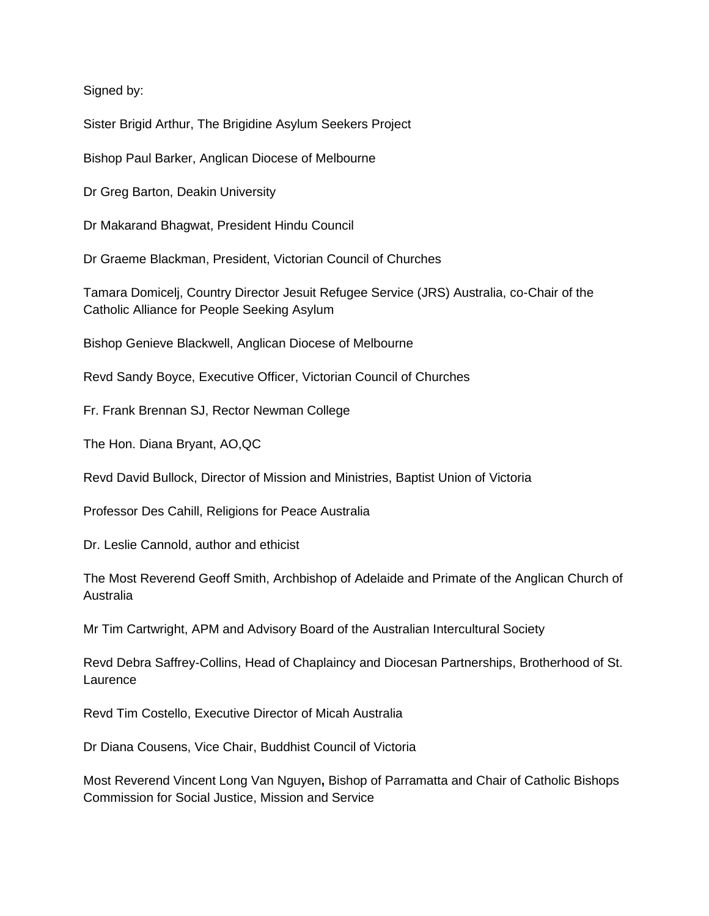Signed by:

Sister Brigid Arthur, The Brigidine Asylum Seekers Project

Bishop Paul Barker, Anglican Diocese of Melbourne

Dr Greg Barton, Deakin University

Dr Makarand Bhagwat, President Hindu Council

Dr Graeme Blackman, President, Victorian Council of Churches

Tamara Domicelj, Country Director Jesuit Refugee Service (JRS) Australia, co-Chair of the Catholic Alliance for People Seeking Asylum

Bishop Genieve Blackwell, Anglican Diocese of Melbourne

Revd Sandy Boyce, Executive Officer, Victorian Council of Churches

Fr. Frank Brennan SJ, Rector Newman College

The Hon. Diana Bryant, AO,QC

Revd David Bullock, Director of Mission and Ministries, Baptist Union of Victoria

Professor Des Cahill, Religions for Peace Australia

Dr. Leslie Cannold, author and ethicist

The Most Reverend Geoff Smith, Archbishop of Adelaide and Primate of the Anglican Church of Australia

Mr Tim Cartwright, APM and Advisory Board of the Australian Intercultural Society

Revd Debra Saffrey-Collins, Head of Chaplaincy and Diocesan Partnerships, Brotherhood of St. **Laurence** 

Revd Tim Costello, Executive Director of Micah Australia

Dr Diana Cousens, Vice Chair, Buddhist Council of Victoria

Most Reverend Vincent Long Van Nguyen**,** Bishop of Parramatta and Chair of Catholic Bishops Commission for Social Justice, Mission and Service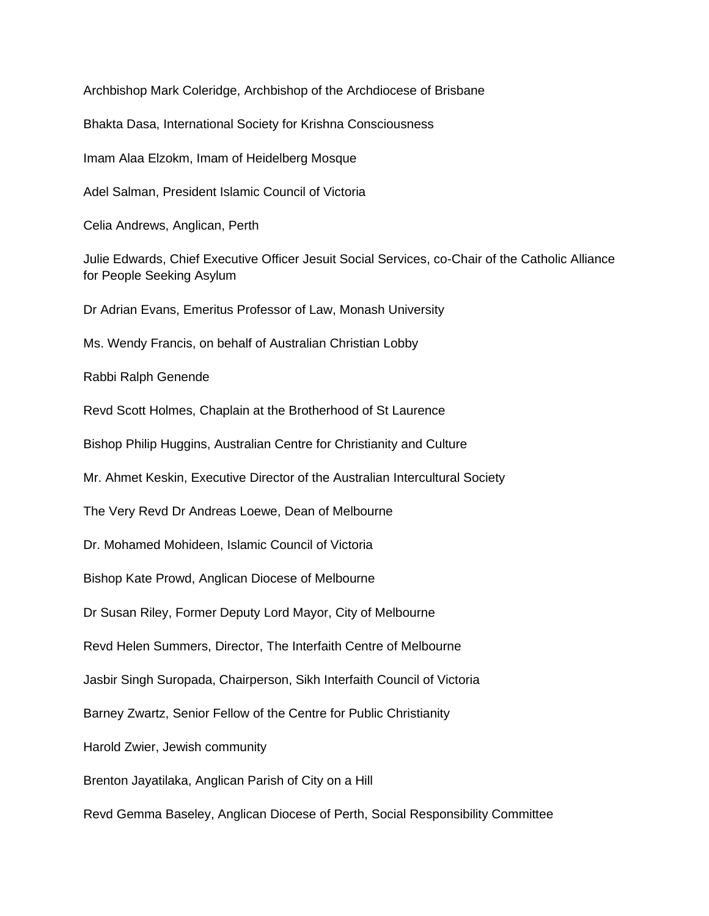Archbishop Mark Coleridge, Archbishop of the Archdiocese of Brisbane Bhakta Dasa, International Society for Krishna Consciousness Imam Alaa Elzokm, Imam of Heidelberg Mosque Adel Salman, President Islamic Council of Victoria Celia Andrews, Anglican, Perth Julie Edwards, Chief Executive Officer Jesuit Social Services, co-Chair of the Catholic Alliance for People Seeking Asylum Dr Adrian Evans, Emeritus Professor of Law, Monash University Ms. Wendy Francis, on behalf of Australian Christian Lobby Rabbi Ralph Genende Revd Scott Holmes, Chaplain at the Brotherhood of St Laurence Bishop Philip Huggins, Australian Centre for Christianity and Culture Mr. Ahmet Keskin, Executive Director of the Australian Intercultural Society The Very Revd Dr Andreas Loewe, Dean of Melbourne Dr. Mohamed Mohideen, Islamic Council of Victoria Bishop Kate Prowd, Anglican Diocese of Melbourne Dr Susan Riley, Former Deputy Lord Mayor, City of Melbourne Revd Helen Summers, Director, The Interfaith Centre of Melbourne Jasbir Singh Suropada, Chairperson, Sikh Interfaith Council of Victoria Barney Zwartz, Senior Fellow of the Centre for Public Christianity Harold Zwier, Jewish community Brenton Jayatilaka, Anglican Parish of City on a Hill Revd Gemma Baseley, Anglican Diocese of Perth, Social Responsibility Committee